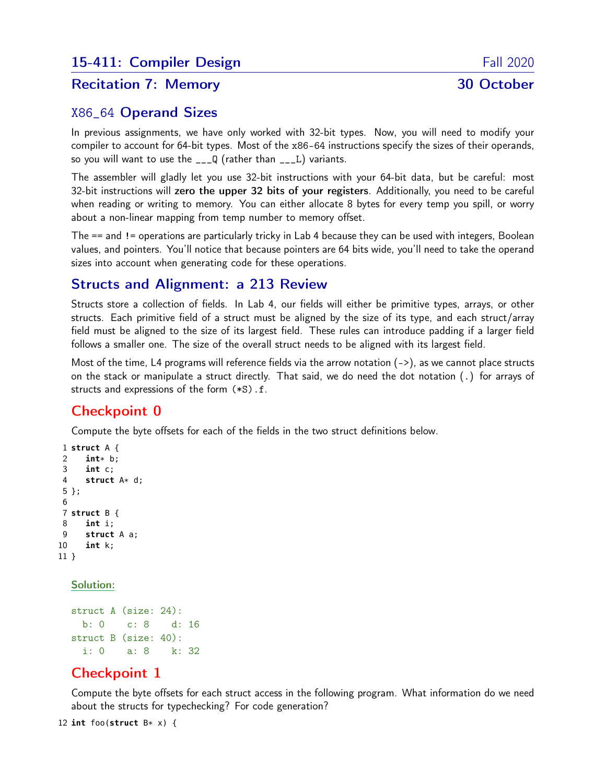# Recitation 7: Memory 30 October

## X86\_64 Operand Sizes

In previous assignments, we have only worked with 32-bit types. Now, you will need to modify your compiler to account for 64-bit types. Most of the x86-64 instructions specify the sizes of their operands, so you will want to use the  $\angle$   $\angle$  Q (rather than  $\angle$  $\angle$ L) variants.

The assembler will gladly let you use 32-bit instructions with your 64-bit data, but be careful: most 32-bit instructions will zero the upper 32 bits of your registers. Additionally, you need to be careful when reading or writing to memory. You can either allocate 8 bytes for every temp you spill, or worry about a non-linear mapping from temp number to memory offset.

The == and != operations are particularly tricky in Lab 4 because they can be used with integers, Boolean values, and pointers. You'll notice that because pointers are 64 bits wide, you'll need to take the operand sizes into account when generating code for these operations.

# Structs and Alignment: a 213 Review

Structs store a collection of fields. In Lab 4, our fields will either be primitive types, arrays, or other structs. Each primitive field of a struct must be aligned by the size of its type, and each struct/array field must be aligned to the size of its largest field. These rules can introduce padding if a larger field follows a smaller one. The size of the overall struct needs to be aligned with its largest field.

Most of the time, L4 programs will reference fields via the arrow notation (->), as we cannot place structs on the stack or manipulate a struct directly. That said, we do need the dot notation (.) for arrays of structs and expressions of the form (\*S).f.

# Checkpoint 0

Compute the byte offsets for each of the fields in the two struct definitions below.

```
1 struct A {
2 int* b;
     3 int c;
4 struct A* d;
5 };
6
7 struct B {
8 int i;
9 struct A a;
10 int k;
11 }
```
#### Solution:

```
struct A (size: 24):
 b: 0 c: 8 d: 16
struct B (size: 40):
 i: 0 a: 8 k: 32
```
## Checkpoint 1

Compute the byte offsets for each struct access in the following program. What information do we need about the structs for typechecking? For code generation?

12 int foo(struct  $B* x$ ) {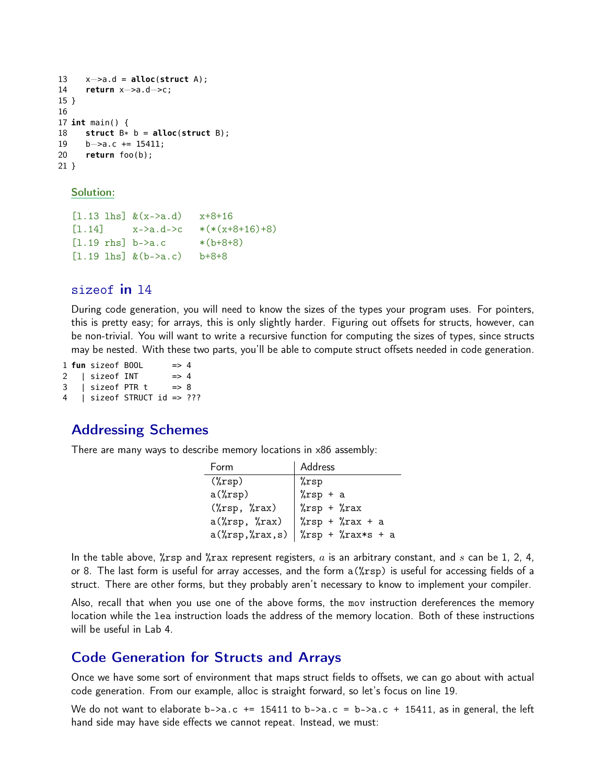```
13 x−>a.d = alloc(struct A);
14 return x−>a.d−>c;
15 }
16
17 int main() {
18 struct B* b = <b>alloc</b>(struct B);<br>19 b \rightarrow a.c + = 15411:
       b \rightarrow a.c += 15411:
20 return foo(b);
21 }
```
Solution:

```
[1.13 \text{ lhs}]\&(x->a.d) \quad x+8+16[1.14] x - \lambda a \cdot d - \lambda c \quad *(*(x + 8 + 16) + 8)[1.19 \text{rhs} \, b - \lambda a \cdot c \quad * (b + 8 + 8)[1.19 \text{ lhs}]\&(b->a.c) b+8+8
```
#### sizeof in l4

During code generation, you will need to know the sizes of the types your program uses. For pointers, this is pretty easy; for arrays, this is only slightly harder. Figuring out offsets for structs, however, can be non-trivial. You will want to write a recursive function for computing the sizes of types, since structs may be nested. With these two parts, you'll be able to compute struct offsets needed in code generation.

 **fun** sizeof BOOL => 4 | sizeof INT => 4 | sizeof PTR t = > 8 | sizeof STRUCT id => ???

### Addressing Schemes

There are many ways to describe memory locations in x86 assembly:

| Form                             | Address                               |
|----------------------------------|---------------------------------------|
| $(\%rsp)$                        | %rsp                                  |
| $a(\text{``rsp)}$                | $\sqrt[n]{rsp} + a$                   |
| $(\% \text{rsp}, \% \text{rax})$ | $\sqrt[n]{rsp} + \sqrt[n]{rx}$        |
| $a(\text{``rsp}, \text{``rxx})$  | $\sqrt[n]{rsp} + \sqrt[n]{rx} + a$    |
| $a(\%rsp, \%rax, s)$             | $\sqrt[n]{rsp} + \sqrt[n]{rax*s} + a$ |

In the table above,  $\chi$ rsp and  $\chi$ rax represent registers, a is an arbitrary constant, and s can be 1, 2, 4, or 8. The last form is useful for array accesses, and the form a(%rsp) is useful for accessing fields of a struct. There are other forms, but they probably aren't necessary to know to implement your compiler.

Also, recall that when you use one of the above forms, the mov instruction dereferences the memory location while the lea instruction loads the address of the memory location. Both of these instructions will be useful in Lab 4.

#### Code Generation for Structs and Arrays

Once we have some sort of environment that maps struct fields to offsets, we can go about with actual code generation. From our example, alloc is straight forward, so let's focus on line 19.

We do not want to elaborate b->a.c += 15411 to b->a.c = b->a.c + 15411, as in general, the left hand side may have side effects we cannot repeat. Instead, we must: